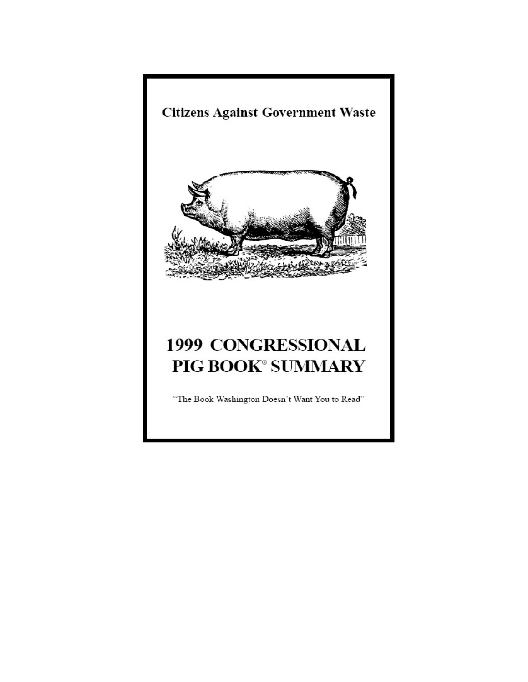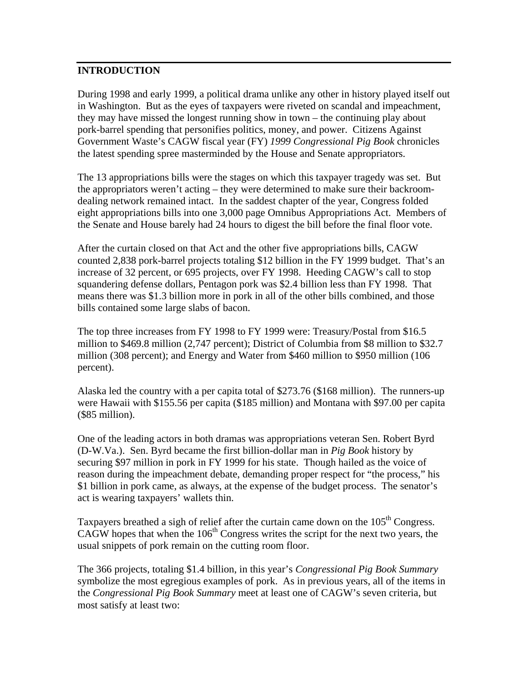### **INTRODUCTION**

During 1998 and early 1999, a political drama unlike any other in history played itself out in Washington. But as the eyes of taxpayers were riveted on scandal and impeachment, they may have missed the longest running show in town – the continuing play about pork-barrel spending that personifies politics, money, and power. Citizens Against Government Waste's CAGW fiscal year (FY) *1999 Congressional Pig Book* chronicles the latest spending spree masterminded by the House and Senate appropriators.

The 13 appropriations bills were the stages on which this taxpayer tragedy was set. But the appropriators weren't acting – they were determined to make sure their backroomdealing network remained intact. In the saddest chapter of the year, Congress folded eight appropriations bills into one 3,000 page Omnibus Appropriations Act. Members of the Senate and House barely had 24 hours to digest the bill before the final floor vote.

After the curtain closed on that Act and the other five appropriations bills, CAGW counted 2,838 pork-barrel projects totaling \$12 billion in the FY 1999 budget. That's an increase of 32 percent, or 695 projects, over FY 1998. Heeding CAGW's call to stop squandering defense dollars, Pentagon pork was \$2.4 billion less than FY 1998. That means there was \$1.3 billion more in pork in all of the other bills combined, and those bills contained some large slabs of bacon.

The top three increases from FY 1998 to FY 1999 were: Treasury/Postal from \$16.5 million to \$469.8 million (2,747 percent); District of Columbia from \$8 million to \$32.7 million (308 percent); and Energy and Water from \$460 million to \$950 million (106 percent).

Alaska led the country with a per capita total of \$273.76 (\$168 million). The runners-up were Hawaii with \$155.56 per capita (\$185 million) and Montana with \$97.00 per capita (\$85 million).

One of the leading actors in both dramas was appropriations veteran Sen. Robert Byrd (D-W.Va.). Sen. Byrd became the first billion-dollar man in *Pig Book* history by securing \$97 million in pork in FY 1999 for his state. Though hailed as the voice of reason during the impeachment debate, demanding proper respect for "the process," his \$1 billion in pork came, as always, at the expense of the budget process. The senator's act is wearing taxpayers' wallets thin.

Taxpayers breathed a sigh of relief after the curtain came down on the  $105<sup>th</sup>$  Congress.  $CAGW$  hopes that when the  $106<sup>th</sup>$  Congress writes the script for the next two years, the usual snippets of pork remain on the cutting room floor.

The 366 projects, totaling \$1.4 billion, in this year's *Congressional Pig Book Summary* symbolize the most egregious examples of pork. As in previous years, all of the items in the *Congressional Pig Book Summary* meet at least one of CAGW's seven criteria, but most satisfy at least two: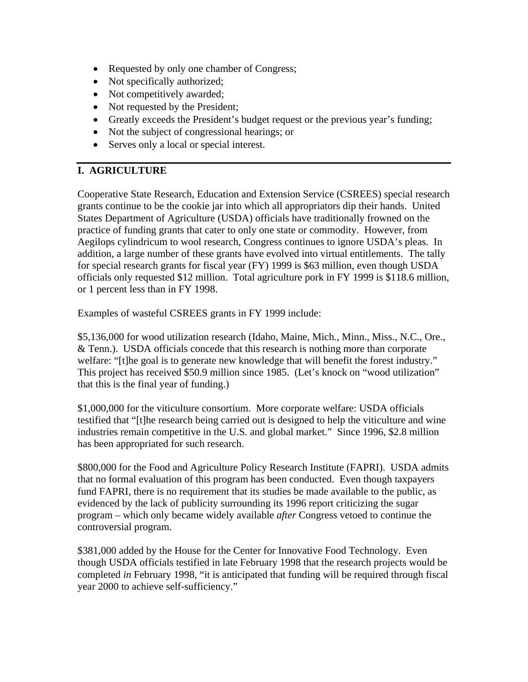- Requested by only one chamber of Congress;
- Not specifically authorized;
- Not competitively awarded;
- Not requested by the President;
- Greatly exceeds the President's budget request or the previous year's funding;
- Not the subject of congressional hearings; or
- Serves only a local or special interest.

# **I. AGRICULTURE**

Cooperative State Research, Education and Extension Service (CSREES) special research grants continue to be the cookie jar into which all appropriators dip their hands. United States Department of Agriculture (USDA) officials have traditionally frowned on the practice of funding grants that cater to only one state or commodity. However, from Aegilops cylindricum to wool research, Congress continues to ignore USDA's pleas. In addition, a large number of these grants have evolved into virtual entitlements. The tally for special research grants for fiscal year (FY) 1999 is \$63 million, even though USDA officials only requested \$12 million. Total agriculture pork in FY 1999 is \$118.6 million, or 1 percent less than in FY 1998.

Examples of wasteful CSREES grants in FY 1999 include:

\$5,136,000 for wood utilization research (Idaho, Maine, Mich., Minn., Miss., N.C., Ore., & Tenn.). USDA officials concede that this research is nothing more than corporate welfare: "[t]he goal is to generate new knowledge that will benefit the forest industry." This project has received \$50.9 million since 1985. (Let's knock on "wood utilization" that this is the final year of funding.)

\$1,000,000 for the viticulture consortium. More corporate welfare: USDA officials testified that "[t]he research being carried out is designed to help the viticulture and wine industries remain competitive in the U.S. and global market." Since 1996, \$2.8 million has been appropriated for such research.

\$800,000 for the Food and Agriculture Policy Research Institute (FAPRI). USDA admits that no formal evaluation of this program has been conducted. Even though taxpayers fund FAPRI, there is no requirement that its studies be made available to the public, as evidenced by the lack of publicity surrounding its 1996 report criticizing the sugar program – which only became widely available *after* Congress vetoed to continue the controversial program.

\$381,000 added by the House for the Center for Innovative Food Technology. Even though USDA officials testified in late February 1998 that the research projects would be completed *in* February 1998, "it is anticipated that funding will be required through fiscal year 2000 to achieve self-sufficiency."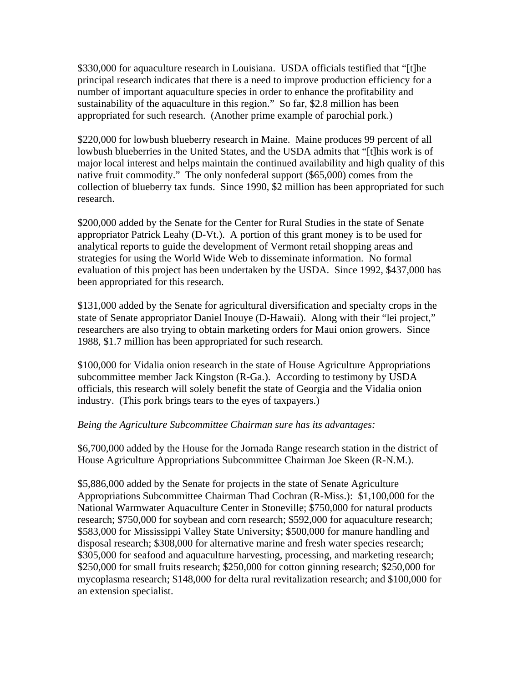\$330,000 for aquaculture research in Louisiana. USDA officials testified that "[t]he principal research indicates that there is a need to improve production efficiency for a number of important aquaculture species in order to enhance the profitability and sustainability of the aquaculture in this region." So far, \$2.8 million has been appropriated for such research. (Another prime example of parochial pork.)

\$220,000 for lowbush blueberry research in Maine. Maine produces 99 percent of all lowbush blueberries in the United States, and the USDA admits that "[t]his work is of major local interest and helps maintain the continued availability and high quality of this native fruit commodity." The only nonfederal support (\$65,000) comes from the collection of blueberry tax funds. Since 1990, \$2 million has been appropriated for such research.

\$200,000 added by the Senate for the Center for Rural Studies in the state of Senate appropriator Patrick Leahy (D-Vt.). A portion of this grant money is to be used for analytical reports to guide the development of Vermont retail shopping areas and strategies for using the World Wide Web to disseminate information. No formal evaluation of this project has been undertaken by the USDA. Since 1992, \$437,000 has been appropriated for this research.

\$131,000 added by the Senate for agricultural diversification and specialty crops in the state of Senate appropriator Daniel Inouye (D-Hawaii). Along with their "lei project," researchers are also trying to obtain marketing orders for Maui onion growers. Since 1988, \$1.7 million has been appropriated for such research.

\$100,000 for Vidalia onion research in the state of House Agriculture Appropriations subcommittee member Jack Kingston (R-Ga.). According to testimony by USDA officials, this research will solely benefit the state of Georgia and the Vidalia onion industry. (This pork brings tears to the eyes of taxpayers.)

#### *Being the Agriculture Subcommittee Chairman sure has its advantages:*

\$6,700,000 added by the House for the Jornada Range research station in the district of House Agriculture Appropriations Subcommittee Chairman Joe Skeen (R-N.M.).

\$5,886,000 added by the Senate for projects in the state of Senate Agriculture Appropriations Subcommittee Chairman Thad Cochran (R-Miss.): \$1,100,000 for the National Warmwater Aquaculture Center in Stoneville; \$750,000 for natural products research; \$750,000 for soybean and corn research; \$592,000 for aquaculture research; \$583,000 for Mississippi Valley State University; \$500,000 for manure handling and disposal research; \$308,000 for alternative marine and fresh water species research; \$305,000 for seafood and aquaculture harvesting, processing, and marketing research; \$250,000 for small fruits research; \$250,000 for cotton ginning research; \$250,000 for mycoplasma research; \$148,000 for delta rural revitalization research; and \$100,000 for an extension specialist.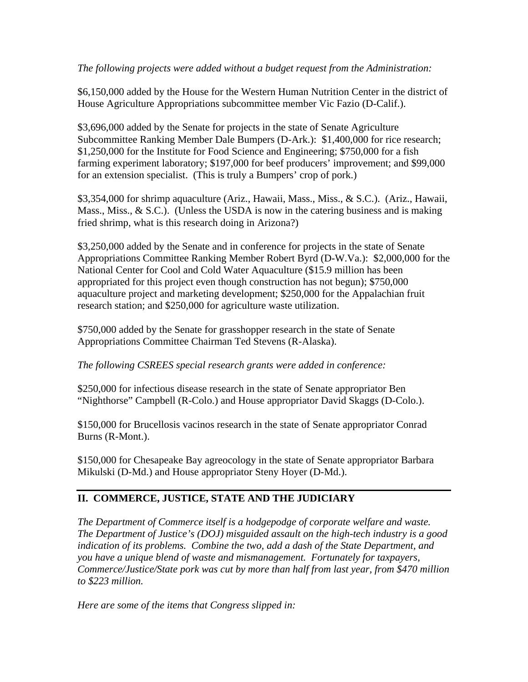*The following projects were added without a budget request from the Administration:*

\$6,150,000 added by the House for the Western Human Nutrition Center in the district of House Agriculture Appropriations subcommittee member Vic Fazio (D-Calif.).

\$3,696,000 added by the Senate for projects in the state of Senate Agriculture Subcommittee Ranking Member Dale Bumpers (D-Ark.): \$1,400,000 for rice research; \$1,250,000 for the Institute for Food Science and Engineering; \$750,000 for a fish farming experiment laboratory; \$197,000 for beef producers' improvement; and \$99,000 for an extension specialist. (This is truly a Bumpers' crop of pork.)

\$3,354,000 for shrimp aquaculture (Ariz., Hawaii, Mass., Miss., & S.C.). (Ariz., Hawaii, Mass., Miss.,  $\&$  S.C.). (Unless the USDA is now in the catering business and is making fried shrimp, what is this research doing in Arizona?)

\$3,250,000 added by the Senate and in conference for projects in the state of Senate Appropriations Committee Ranking Member Robert Byrd (D-W.Va.): \$2,000,000 for the National Center for Cool and Cold Water Aquaculture (\$15.9 million has been appropriated for this project even though construction has not begun); \$750,000 aquaculture project and marketing development; \$250,000 for the Appalachian fruit research station; and \$250,000 for agriculture waste utilization.

\$750,000 added by the Senate for grasshopper research in the state of Senate Appropriations Committee Chairman Ted Stevens (R-Alaska).

### *The following CSREES special research grants were added in conference:*

\$250,000 for infectious disease research in the state of Senate appropriator Ben "Nighthorse" Campbell (R-Colo.) and House appropriator David Skaggs (D-Colo.).

\$150,000 for Brucellosis vacinos research in the state of Senate appropriator Conrad Burns (R-Mont.).

\$150,000 for Chesapeake Bay agreocology in the state of Senate appropriator Barbara Mikulski (D-Md.) and House appropriator Steny Hoyer (D-Md.).

# **II. COMMERCE, JUSTICE, STATE AND THE JUDICIARY**

*The Department of Commerce itself is a hodgepodge of corporate welfare and waste. The Department of Justice's (DOJ) misguided assault on the high-tech industry is a good indication of its problems. Combine the two, add a dash of the State Department, and you have a unique blend of waste and mismanagement. Fortunately for taxpayers, Commerce/Justice/State pork was cut by more than half from last year, from \$470 million to \$223 million.* 

*Here are some of the items that Congress slipped in:*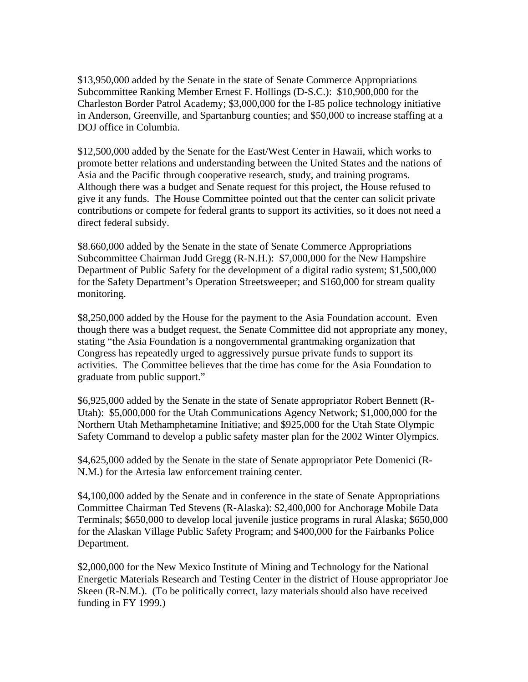\$13,950,000 added by the Senate in the state of Senate Commerce Appropriations Subcommittee Ranking Member Ernest F. Hollings (D-S.C.): \$10,900,000 for the Charleston Border Patrol Academy; \$3,000,000 for the I-85 police technology initiative in Anderson, Greenville, and Spartanburg counties; and \$50,000 to increase staffing at a DOJ office in Columbia.

\$12,500,000 added by the Senate for the East/West Center in Hawaii, which works to promote better relations and understanding between the United States and the nations of Asia and the Pacific through cooperative research, study, and training programs. Although there was a budget and Senate request for this project, the House refused to give it any funds. The House Committee pointed out that the center can solicit private contributions or compete for federal grants to support its activities, so it does not need a direct federal subsidy.

\$8.660,000 added by the Senate in the state of Senate Commerce Appropriations Subcommittee Chairman Judd Gregg (R-N.H.): \$7,000,000 for the New Hampshire Department of Public Safety for the development of a digital radio system; \$1,500,000 for the Safety Department's Operation Streetsweeper; and \$160,000 for stream quality monitoring.

\$8,250,000 added by the House for the payment to the Asia Foundation account. Even though there was a budget request, the Senate Committee did not appropriate any money, stating "the Asia Foundation is a nongovernmental grantmaking organization that Congress has repeatedly urged to aggressively pursue private funds to support its activities. The Committee believes that the time has come for the Asia Foundation to graduate from public support."

\$6,925,000 added by the Senate in the state of Senate appropriator Robert Bennett (R-Utah): \$5,000,000 for the Utah Communications Agency Network; \$1,000,000 for the Northern Utah Methamphetamine Initiative; and \$925,000 for the Utah State Olympic Safety Command to develop a public safety master plan for the 2002 Winter Olympics.

\$4,625,000 added by the Senate in the state of Senate appropriator Pete Domenici (R-N.M.) for the Artesia law enforcement training center.

\$4,100,000 added by the Senate and in conference in the state of Senate Appropriations Committee Chairman Ted Stevens (R-Alaska): \$2,400,000 for Anchorage Mobile Data Terminals; \$650,000 to develop local juvenile justice programs in rural Alaska; \$650,000 for the Alaskan Village Public Safety Program; and \$400,000 for the Fairbanks Police Department.

\$2,000,000 for the New Mexico Institute of Mining and Technology for the National Energetic Materials Research and Testing Center in the district of House appropriator Joe Skeen (R-N.M.). (To be politically correct, lazy materials should also have received funding in FY 1999.)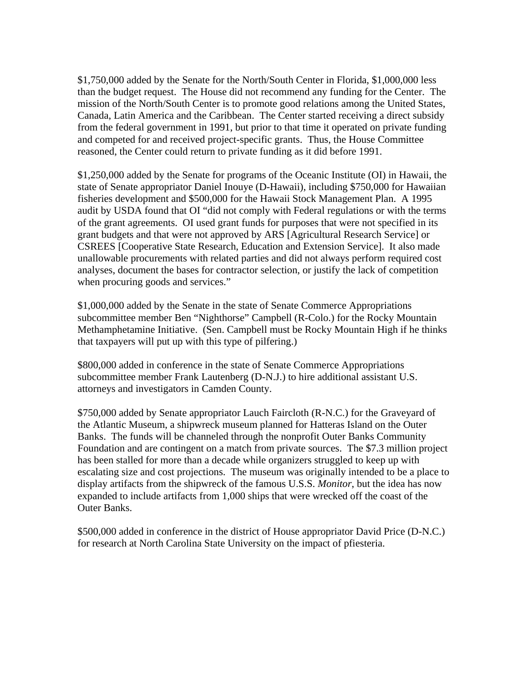\$1,750,000 added by the Senate for the North/South Center in Florida, \$1,000,000 less than the budget request. The House did not recommend any funding for the Center. The mission of the North/South Center is to promote good relations among the United States, Canada, Latin America and the Caribbean. The Center started receiving a direct subsidy from the federal government in 1991, but prior to that time it operated on private funding and competed for and received project-specific grants. Thus, the House Committee reasoned, the Center could return to private funding as it did before 1991.

\$1,250,000 added by the Senate for programs of the Oceanic Institute (OI) in Hawaii, the state of Senate appropriator Daniel Inouye (D-Hawaii), including \$750,000 for Hawaiian fisheries development and \$500,000 for the Hawaii Stock Management Plan. A 1995 audit by USDA found that OI "did not comply with Federal regulations or with the terms of the grant agreements. OI used grant funds for purposes that were not specified in its grant budgets and that were not approved by ARS [Agricultural Research Service] or CSREES [Cooperative State Research, Education and Extension Service]. It also made unallowable procurements with related parties and did not always perform required cost analyses, document the bases for contractor selection, or justify the lack of competition when procuring goods and services."

\$1,000,000 added by the Senate in the state of Senate Commerce Appropriations subcommittee member Ben "Nighthorse" Campbell (R-Colo.) for the Rocky Mountain Methamphetamine Initiative. (Sen. Campbell must be Rocky Mountain High if he thinks that taxpayers will put up with this type of pilfering.)

\$800,000 added in conference in the state of Senate Commerce Appropriations subcommittee member Frank Lautenberg (D-N.J.) to hire additional assistant U.S. attorneys and investigators in Camden County.

\$750,000 added by Senate appropriator Lauch Faircloth (R-N.C.) for the Graveyard of the Atlantic Museum, a shipwreck museum planned for Hatteras Island on the Outer Banks. The funds will be channeled through the nonprofit Outer Banks Community Foundation and are contingent on a match from private sources. The \$7.3 million project has been stalled for more than a decade while organizers struggled to keep up with escalating size and cost projections. The museum was originally intended to be a place to display artifacts from the shipwreck of the famous U.S.S. *Monitor*, but the idea has now expanded to include artifacts from 1,000 ships that were wrecked off the coast of the Outer Banks.

\$500,000 added in conference in the district of House appropriator David Price (D-N.C.) for research at North Carolina State University on the impact of pfiesteria.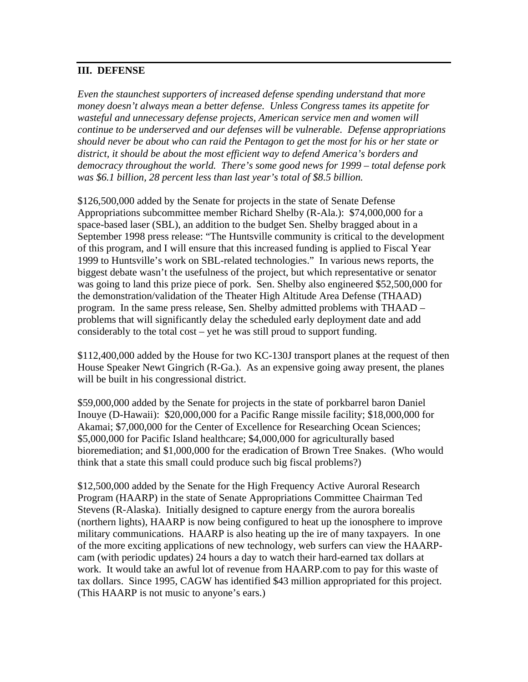### **III. DEFENSE**

*Even the staunchest supporters of increased defense spending understand that more money doesn't always mean a better defense. Unless Congress tames its appetite for wasteful and unnecessary defense projects, American service men and women will continue to be underserved and our defenses will be vulnerable. Defense appropriations should never be about who can raid the Pentagon to get the most for his or her state or district, it should be about the most efficient way to defend America's borders and democracy throughout the world. There's some good news for 1999 – total defense pork was \$6.1 billion, 28 percent less than last year's total of \$8.5 billion.* 

\$126,500,000 added by the Senate for projects in the state of Senate Defense Appropriations subcommittee member Richard Shelby (R-Ala.): \$74,000,000 for a space-based laser (SBL), an addition to the budget Sen. Shelby bragged about in a September 1998 press release: "The Huntsville community is critical to the development of this program, and I will ensure that this increased funding is applied to Fiscal Year 1999 to Huntsville's work on SBL-related technologies." In various news reports, the biggest debate wasn't the usefulness of the project, but which representative or senator was going to land this prize piece of pork. Sen. Shelby also engineered \$52,500,000 for the demonstration/validation of the Theater High Altitude Area Defense (THAAD) program. In the same press release, Sen. Shelby admitted problems with THAAD – problems that will significantly delay the scheduled early deployment date and add considerably to the total cost – yet he was still proud to support funding.

\$112,400,000 added by the House for two KC-130J transport planes at the request of then House Speaker Newt Gingrich (R-Ga.). As an expensive going away present, the planes will be built in his congressional district.

\$59,000,000 added by the Senate for projects in the state of porkbarrel baron Daniel Inouye (D-Hawaii): \$20,000,000 for a Pacific Range missile facility; \$18,000,000 for Akamai; \$7,000,000 for the Center of Excellence for Researching Ocean Sciences; \$5,000,000 for Pacific Island healthcare; \$4,000,000 for agriculturally based bioremediation; and \$1,000,000 for the eradication of Brown Tree Snakes. (Who would think that a state this small could produce such big fiscal problems?)

\$12,500,000 added by the Senate for the High Frequency Active Auroral Research Program (HAARP) in the state of Senate Appropriations Committee Chairman Ted Stevens (R-Alaska). Initially designed to capture energy from the aurora borealis (northern lights), HAARP is now being configured to heat up the ionosphere to improve military communications. HAARP is also heating up the ire of many taxpayers. In one of the more exciting applications of new technology, web surfers can view the HAARPcam (with periodic updates) 24 hours a day to watch their hard-earned tax dollars at work. It would take an awful lot of revenue from HAARP.com to pay for this waste of tax dollars. Since 1995, CAGW has identified \$43 million appropriated for this project. (This HAARP is not music to anyone's ears.)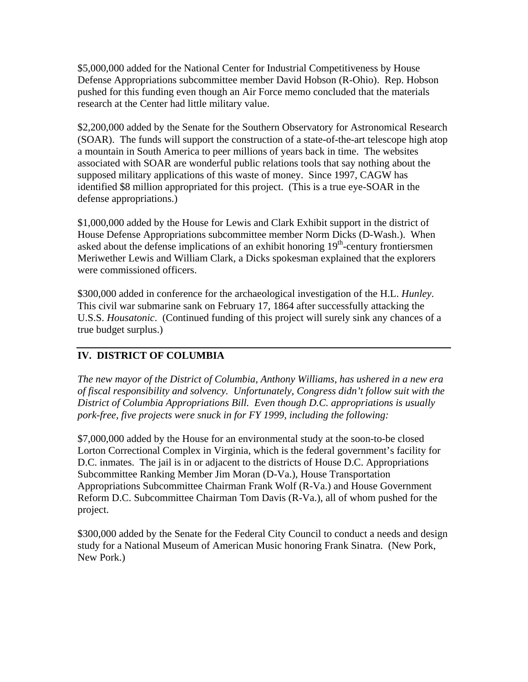\$5,000,000 added for the National Center for Industrial Competitiveness by House Defense Appropriations subcommittee member David Hobson (R-Ohio). Rep. Hobson pushed for this funding even though an Air Force memo concluded that the materials research at the Center had little military value.

\$2,200,000 added by the Senate for the Southern Observatory for Astronomical Research (SOAR). The funds will support the construction of a state-of-the-art telescope high atop a mountain in South America to peer millions of years back in time. The websites associated with SOAR are wonderful public relations tools that say nothing about the supposed military applications of this waste of money. Since 1997, CAGW has identified \$8 million appropriated for this project. (This is a true eye-SOAR in the defense appropriations.)

\$1,000,000 added by the House for Lewis and Clark Exhibit support in the district of House Defense Appropriations subcommittee member Norm Dicks (D-Wash.). When asked about the defense implications of an exhibit honoring  $19<sup>th</sup>$ -century frontiersmen Meriwether Lewis and William Clark, a Dicks spokesman explained that the explorers were commissioned officers.

\$300,000 added in conference for the archaeological investigation of the H.L. *Hunley*. This civil war submarine sank on February 17, 1864 after successfully attacking the U.S.S. *Housatonic*. (Continued funding of this project will surely sink any chances of a true budget surplus.)

# **IV. DISTRICT OF COLUMBIA**

*The new mayor of the District of Columbia, Anthony Williams, has ushered in a new era of fiscal responsibility and solvency. Unfortunately, Congress didn't follow suit with the District of Columbia Appropriations Bill. Even though D.C. appropriations is usually pork-free, five projects were snuck in for FY 1999, including the following:* 

\$7,000,000 added by the House for an environmental study at the soon-to-be closed Lorton Correctional Complex in Virginia, which is the federal government's facility for D.C. inmates. The jail is in or adjacent to the districts of House D.C. Appropriations Subcommittee Ranking Member Jim Moran (D-Va.), House Transportation Appropriations Subcommittee Chairman Frank Wolf (R-Va.) and House Government Reform D.C. Subcommittee Chairman Tom Davis (R-Va.), all of whom pushed for the project.

\$300,000 added by the Senate for the Federal City Council to conduct a needs and design study for a National Museum of American Music honoring Frank Sinatra. (New Pork, New Pork.)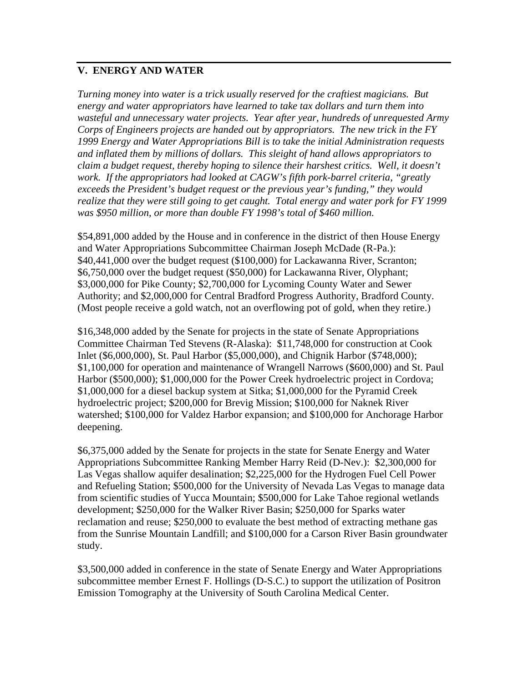### **V. ENERGY AND WATER**

*Turning money into water is a trick usually reserved for the craftiest magicians. But energy and water appropriators have learned to take tax dollars and turn them into wasteful and unnecessary water projects. Year after year, hundreds of unrequested Army Corps of Engineers projects are handed out by appropriators. The new trick in the FY 1999 Energy and Water Appropriations Bill is to take the initial Administration requests and inflated them by millions of dollars. This sleight of hand allows appropriators to claim a budget request, thereby hoping to silence their harshest critics. Well, it doesn't work. If the appropriators had looked at CAGW's fifth pork-barrel criteria, "greatly exceeds the President's budget request or the previous year's funding," they would realize that they were still going to get caught. Total energy and water pork for FY 1999 was \$950 million, or more than double FY 1998's total of \$460 million.*

\$54,891,000 added by the House and in conference in the district of then House Energy and Water Appropriations Subcommittee Chairman Joseph McDade (R-Pa.): \$40,441,000 over the budget request (\$100,000) for Lackawanna River, Scranton; \$6,750,000 over the budget request (\$50,000) for Lackawanna River, Olyphant; \$3,000,000 for Pike County; \$2,700,000 for Lycoming County Water and Sewer Authority; and \$2,000,000 for Central Bradford Progress Authority, Bradford County. (Most people receive a gold watch, not an overflowing pot of gold, when they retire.)

\$16,348,000 added by the Senate for projects in the state of Senate Appropriations Committee Chairman Ted Stevens (R-Alaska): \$11,748,000 for construction at Cook Inlet (\$6,000,000), St. Paul Harbor (\$5,000,000), and Chignik Harbor (\$748,000); \$1,100,000 for operation and maintenance of Wrangell Narrows (\$600,000) and St. Paul Harbor (\$500,000); \$1,000,000 for the Power Creek hydroelectric project in Cordova; \$1,000,000 for a diesel backup system at Sitka; \$1,000,000 for the Pyramid Creek hydroelectric project; \$200,000 for Brevig Mission; \$100,000 for Naknek River watershed; \$100,000 for Valdez Harbor expansion; and \$100,000 for Anchorage Harbor deepening.

\$6,375,000 added by the Senate for projects in the state for Senate Energy and Water Appropriations Subcommittee Ranking Member Harry Reid (D-Nev.): \$2,300,000 for Las Vegas shallow aquifer desalination; \$2,225,000 for the Hydrogen Fuel Cell Power and Refueling Station; \$500,000 for the University of Nevada Las Vegas to manage data from scientific studies of Yucca Mountain; \$500,000 for Lake Tahoe regional wetlands development; \$250,000 for the Walker River Basin; \$250,000 for Sparks water reclamation and reuse; \$250,000 to evaluate the best method of extracting methane gas from the Sunrise Mountain Landfill; and \$100,000 for a Carson River Basin groundwater study.

\$3,500,000 added in conference in the state of Senate Energy and Water Appropriations subcommittee member Ernest F. Hollings (D-S.C.) to support the utilization of Positron Emission Tomography at the University of South Carolina Medical Center.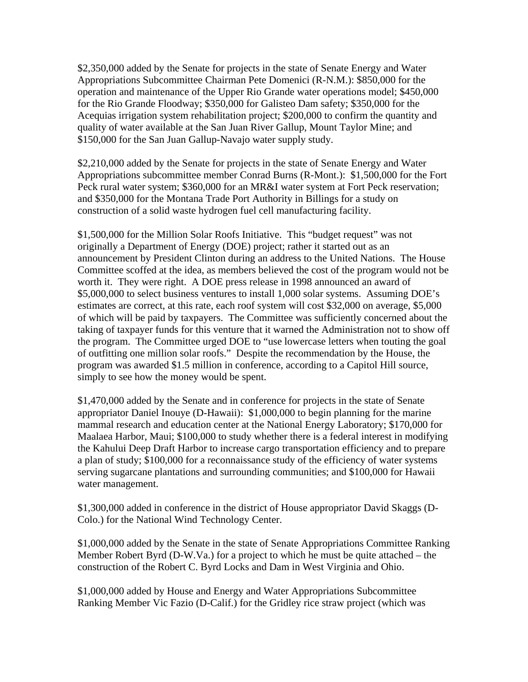\$2,350,000 added by the Senate for projects in the state of Senate Energy and Water Appropriations Subcommittee Chairman Pete Domenici (R-N.M.): \$850,000 for the operation and maintenance of the Upper Rio Grande water operations model; \$450,000 for the Rio Grande Floodway; \$350,000 for Galisteo Dam safety; \$350,000 for the Acequias irrigation system rehabilitation project; \$200,000 to confirm the quantity and quality of water available at the San Juan River Gallup, Mount Taylor Mine; and \$150,000 for the San Juan Gallup-Navajo water supply study.

\$2,210,000 added by the Senate for projects in the state of Senate Energy and Water Appropriations subcommittee member Conrad Burns (R-Mont.): \$1,500,000 for the Fort Peck rural water system; \$360,000 for an MR&I water system at Fort Peck reservation; and \$350,000 for the Montana Trade Port Authority in Billings for a study on construction of a solid waste hydrogen fuel cell manufacturing facility.

\$1,500,000 for the Million Solar Roofs Initiative. This "budget request" was not originally a Department of Energy (DOE) project; rather it started out as an announcement by President Clinton during an address to the United Nations. The House Committee scoffed at the idea, as members believed the cost of the program would not be worth it. They were right. A DOE press release in 1998 announced an award of \$5,000,000 to select business ventures to install 1,000 solar systems. Assuming DOE's estimates are correct, at this rate, each roof system will cost \$32,000 on average, \$5,000 of which will be paid by taxpayers. The Committee was sufficiently concerned about the taking of taxpayer funds for this venture that it warned the Administration not to show off the program. The Committee urged DOE to "use lowercase letters when touting the goal of outfitting one million solar roofs." Despite the recommendation by the House, the program was awarded \$1.5 million in conference, according to a Capitol Hill source, simply to see how the money would be spent.

\$1,470,000 added by the Senate and in conference for projects in the state of Senate appropriator Daniel Inouye (D-Hawaii): \$1,000,000 to begin planning for the marine mammal research and education center at the National Energy Laboratory; \$170,000 for Maalaea Harbor, Maui; \$100,000 to study whether there is a federal interest in modifying the Kahului Deep Draft Harbor to increase cargo transportation efficiency and to prepare a plan of study; \$100,000 for a reconnaissance study of the efficiency of water systems serving sugarcane plantations and surrounding communities; and \$100,000 for Hawaii water management.

\$1,300,000 added in conference in the district of House appropriator David Skaggs (D-Colo.) for the National Wind Technology Center.

\$1,000,000 added by the Senate in the state of Senate Appropriations Committee Ranking Member Robert Byrd (D-W.Va.) for a project to which he must be quite attached – the construction of the Robert C. Byrd Locks and Dam in West Virginia and Ohio.

\$1,000,000 added by House and Energy and Water Appropriations Subcommittee Ranking Member Vic Fazio (D-Calif.) for the Gridley rice straw project (which was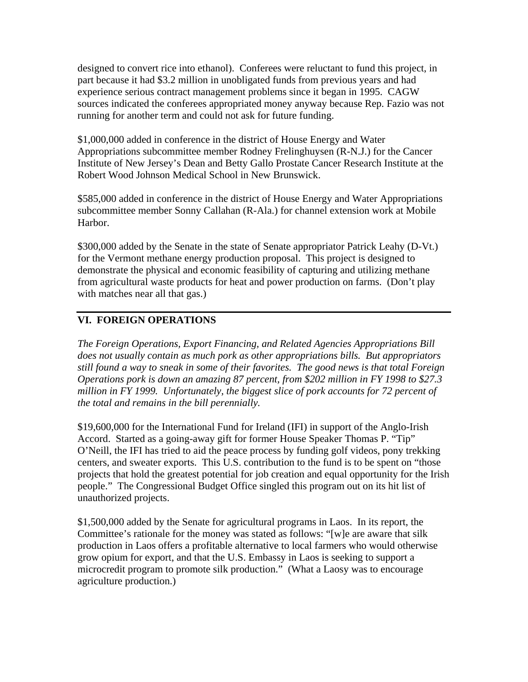designed to convert rice into ethanol). Conferees were reluctant to fund this project, in part because it had \$3.2 million in unobligated funds from previous years and had experience serious contract management problems since it began in 1995. CAGW sources indicated the conferees appropriated money anyway because Rep. Fazio was not running for another term and could not ask for future funding.

\$1,000,000 added in conference in the district of House Energy and Water Appropriations subcommittee member Rodney Frelinghuysen (R-N.J.) for the Cancer Institute of New Jersey's Dean and Betty Gallo Prostate Cancer Research Institute at the Robert Wood Johnson Medical School in New Brunswick.

\$585,000 added in conference in the district of House Energy and Water Appropriations subcommittee member Sonny Callahan (R-Ala.) for channel extension work at Mobile Harbor.

\$300,000 added by the Senate in the state of Senate appropriator Patrick Leahy (D-Vt.) for the Vermont methane energy production proposal. This project is designed to demonstrate the physical and economic feasibility of capturing and utilizing methane from agricultural waste products for heat and power production on farms. (Don't play with matches near all that gas.)

# **VI. FOREIGN OPERATIONS**

*The Foreign Operations, Export Financing, and Related Agencies Appropriations Bill does not usually contain as much pork as other appropriations bills. But appropriators still found a way to sneak in some of their favorites. The good news is that total Foreign Operations pork is down an amazing 87 percent, from \$202 million in FY 1998 to \$27.3*  million in FY 1999. Unfortunately, the biggest slice of pork accounts for 72 percent of *the total and remains in the bill perennially.* 

\$19,600,000 for the International Fund for Ireland (IFI) in support of the Anglo-Irish Accord. Started as a going-away gift for former House Speaker Thomas P. "Tip" O'Neill, the IFI has tried to aid the peace process by funding golf videos, pony trekking centers, and sweater exports. This U.S. contribution to the fund is to be spent on "those projects that hold the greatest potential for job creation and equal opportunity for the Irish people." The Congressional Budget Office singled this program out on its hit list of unauthorized projects.

\$1,500,000 added by the Senate for agricultural programs in Laos. In its report, the Committee's rationale for the money was stated as follows: "[w]e are aware that silk production in Laos offers a profitable alternative to local farmers who would otherwise grow opium for export, and that the U.S. Embassy in Laos is seeking to support a microcredit program to promote silk production." (What a Laosy was to encourage agriculture production.)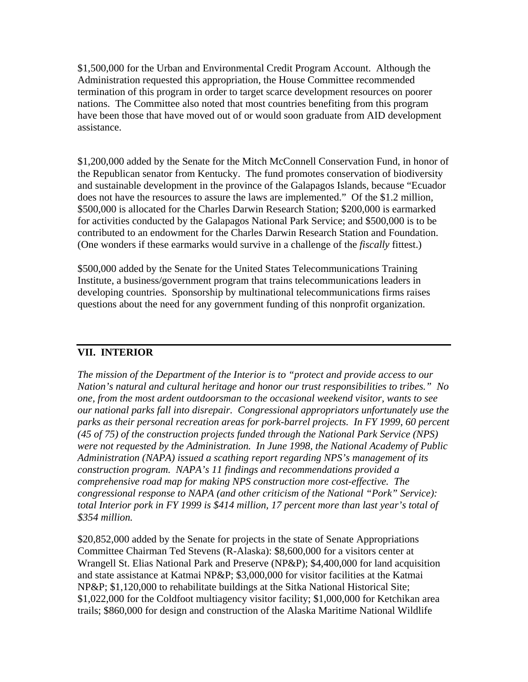\$1,500,000 for the Urban and Environmental Credit Program Account. Although the Administration requested this appropriation, the House Committee recommended termination of this program in order to target scarce development resources on poorer nations. The Committee also noted that most countries benefiting from this program have been those that have moved out of or would soon graduate from AID development assistance.

\$1,200,000 added by the Senate for the Mitch McConnell Conservation Fund, in honor of the Republican senator from Kentucky. The fund promotes conservation of biodiversity and sustainable development in the province of the Galapagos Islands, because "Ecuador does not have the resources to assure the laws are implemented." Of the \$1.2 million, \$500,000 is allocated for the Charles Darwin Research Station; \$200,000 is earmarked for activities conducted by the Galapagos National Park Service; and \$500,000 is to be contributed to an endowment for the Charles Darwin Research Station and Foundation. (One wonders if these earmarks would survive in a challenge of the *fiscally* fittest.)

\$500,000 added by the Senate for the United States Telecommunications Training Institute, a business/government program that trains telecommunications leaders in developing countries. Sponsorship by multinational telecommunications firms raises questions about the need for any government funding of this nonprofit organization.

#### **VII. INTERIOR**

*The mission of the Department of the Interior is to "protect and provide access to our Nation's natural and cultural heritage and honor our trust responsibilities to tribes." No one, from the most ardent outdoorsman to the occasional weekend visitor, wants to see our national parks fall into disrepair. Congressional appropriators unfortunately use the parks as their personal recreation areas for pork-barrel projects. In FY 1999, 60 percent (45 of 75) of the construction projects funded through the National Park Service (NPS) were not requested by the Administration. In June 1998, the National Academy of Public Administration (NAPA) issued a scathing report regarding NPS's management of its construction program. NAPA's 11 findings and recommendations provided a comprehensive road map for making NPS construction more cost-effective. The congressional response to NAPA (and other criticism of the National "Pork" Service): total Interior pork in FY 1999 is \$414 million, 17 percent more than last year's total of \$354 million.*

\$20,852,000 added by the Senate for projects in the state of Senate Appropriations Committee Chairman Ted Stevens (R-Alaska): \$8,600,000 for a visitors center at Wrangell St. Elias National Park and Preserve (NP&P); \$4,400,000 for land acquisition and state assistance at Katmai NP&P; \$3,000,000 for visitor facilities at the Katmai NP&P; \$1,120,000 to rehabilitate buildings at the Sitka National Historical Site; \$1,022,000 for the Coldfoot multiagency visitor facility; \$1,000,000 for Ketchikan area trails; \$860,000 for design and construction of the Alaska Maritime National Wildlife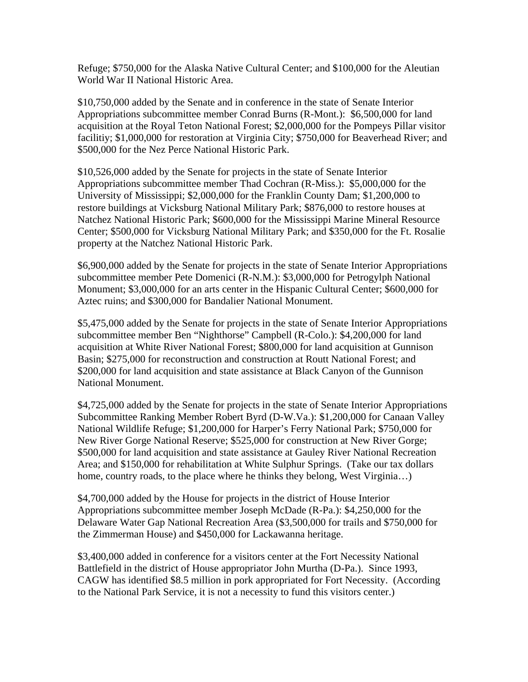Refuge; \$750,000 for the Alaska Native Cultural Center; and \$100,000 for the Aleutian World War II National Historic Area.

\$10,750,000 added by the Senate and in conference in the state of Senate Interior Appropriations subcommittee member Conrad Burns (R-Mont.): \$6,500,000 for land acquisition at the Royal Teton National Forest; \$2,000,000 for the Pompeys Pillar visitor facilitiy; \$1,000,000 for restoration at Virginia City; \$750,000 for Beaverhead River; and \$500,000 for the Nez Perce National Historic Park.

\$10,526,000 added by the Senate for projects in the state of Senate Interior Appropriations subcommittee member Thad Cochran (R-Miss.): \$5,000,000 for the University of Mississippi; \$2,000,000 for the Franklin County Dam; \$1,200,000 to restore buildings at Vicksburg National Military Park; \$876,000 to restore houses at Natchez National Historic Park; \$600,000 for the Mississippi Marine Mineral Resource Center; \$500,000 for Vicksburg National Military Park; and \$350,000 for the Ft. Rosalie property at the Natchez National Historic Park.

\$6,900,000 added by the Senate for projects in the state of Senate Interior Appropriations subcommittee member Pete Domenici (R-N.M.): \$3,000,000 for Petrogylph National Monument; \$3,000,000 for an arts center in the Hispanic Cultural Center; \$600,000 for Aztec ruins; and \$300,000 for Bandalier National Monument.

\$5,475,000 added by the Senate for projects in the state of Senate Interior Appropriations subcommittee member Ben "Nighthorse" Campbell (R-Colo.): \$4,200,000 for land acquisition at White River National Forest; \$800,000 for land acquisition at Gunnison Basin; \$275,000 for reconstruction and construction at Routt National Forest; and \$200,000 for land acquisition and state assistance at Black Canyon of the Gunnison National Monument.

\$4,725,000 added by the Senate for projects in the state of Senate Interior Appropriations Subcommittee Ranking Member Robert Byrd (D-W.Va.): \$1,200,000 for Canaan Valley National Wildlife Refuge; \$1,200,000 for Harper's Ferry National Park; \$750,000 for New River Gorge National Reserve; \$525,000 for construction at New River Gorge; \$500,000 for land acquisition and state assistance at Gauley River National Recreation Area; and \$150,000 for rehabilitation at White Sulphur Springs. (Take our tax dollars home, country roads, to the place where he thinks they belong, West Virginia...)

\$4,700,000 added by the House for projects in the district of House Interior Appropriations subcommittee member Joseph McDade (R-Pa.): \$4,250,000 for the Delaware Water Gap National Recreation Area (\$3,500,000 for trails and \$750,000 for the Zimmerman House) and \$450,000 for Lackawanna heritage.

\$3,400,000 added in conference for a visitors center at the Fort Necessity National Battlefield in the district of House appropriator John Murtha (D-Pa.). Since 1993, CAGW has identified \$8.5 million in pork appropriated for Fort Necessity. (According to the National Park Service, it is not a necessity to fund this visitors center.)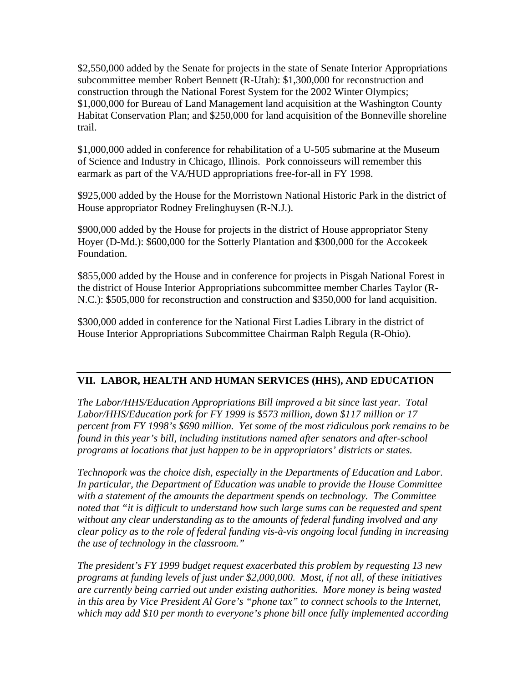\$2,550,000 added by the Senate for projects in the state of Senate Interior Appropriations subcommittee member Robert Bennett (R-Utah): \$1,300,000 for reconstruction and construction through the National Forest System for the 2002 Winter Olympics; \$1,000,000 for Bureau of Land Management land acquisition at the Washington County Habitat Conservation Plan; and \$250,000 for land acquisition of the Bonneville shoreline trail.

\$1,000,000 added in conference for rehabilitation of a U-505 submarine at the Museum of Science and Industry in Chicago, Illinois. Pork connoisseurs will remember this earmark as part of the VA/HUD appropriations free-for-all in FY 1998.

\$925,000 added by the House for the Morristown National Historic Park in the district of House appropriator Rodney Frelinghuysen (R-N.J.).

\$900,000 added by the House for projects in the district of House appropriator Steny Hoyer (D-Md.): \$600,000 for the Sotterly Plantation and \$300,000 for the Accokeek Foundation.

\$855,000 added by the House and in conference for projects in Pisgah National Forest in the district of House Interior Appropriations subcommittee member Charles Taylor (R-N.C.): \$505,000 for reconstruction and construction and \$350,000 for land acquisition.

\$300,000 added in conference for the National First Ladies Library in the district of House Interior Appropriations Subcommittee Chairman Ralph Regula (R-Ohio).

### **VII. LABOR, HEALTH AND HUMAN SERVICES (HHS), AND EDUCATION**

*The Labor/HHS/Education Appropriations Bill improved a bit since last year. Total Labor/HHS/Education pork for FY 1999 is \$573 million, down \$117 million or 17 percent from FY 1998's \$690 million. Yet some of the most ridiculous pork remains to be found in this year's bill, including institutions named after senators and after-school programs at locations that just happen to be in appropriators' districts or states.* 

*Technopork was the choice dish, especially in the Departments of Education and Labor. In particular, the Department of Education was unable to provide the House Committee with a statement of the amounts the department spends on technology. The Committee noted that "it is difficult to understand how such large sums can be requested and spent without any clear understanding as to the amounts of federal funding involved and any clear policy as to the role of federal funding vis-à-vis ongoing local funding in increasing the use of technology in the classroom."* 

*The president's FY 1999 budget request exacerbated this problem by requesting 13 new programs at funding levels of just under \$2,000,000. Most, if not all, of these initiatives are currently being carried out under existing authorities. More money is being wasted in this area by Vice President Al Gore's "phone tax" to connect schools to the Internet, which may add \$10 per month to everyone's phone bill once fully implemented according*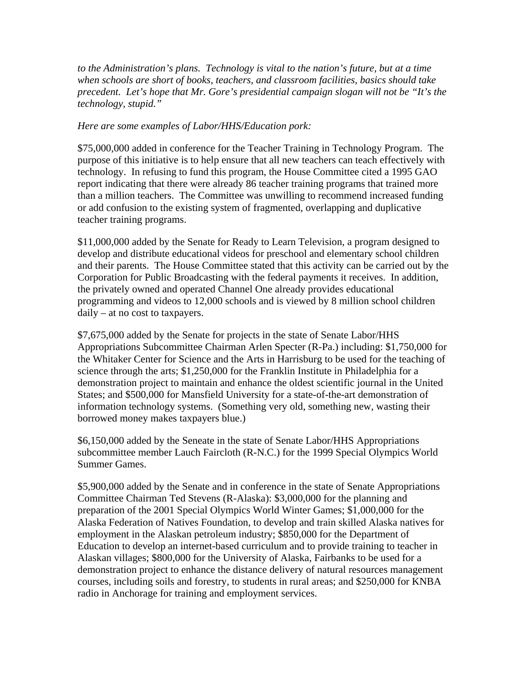*to the Administration's plans. Technology is vital to the nation's future, but at a time when schools are short of books, teachers, and classroom facilities, basics should take precedent. Let's hope that Mr. Gore's presidential campaign slogan will not be "It's the technology, stupid."* 

#### *Here are some examples of Labor/HHS/Education pork:*

\$75,000,000 added in conference for the Teacher Training in Technology Program. The purpose of this initiative is to help ensure that all new teachers can teach effectively with technology. In refusing to fund this program, the House Committee cited a 1995 GAO report indicating that there were already 86 teacher training programs that trained more than a million teachers. The Committee was unwilling to recommend increased funding or add confusion to the existing system of fragmented, overlapping and duplicative teacher training programs.

\$11,000,000 added by the Senate for Ready to Learn Television, a program designed to develop and distribute educational videos for preschool and elementary school children and their parents. The House Committee stated that this activity can be carried out by the Corporation for Public Broadcasting with the federal payments it receives. In addition, the privately owned and operated Channel One already provides educational programming and videos to 12,000 schools and is viewed by 8 million school children daily – at no cost to taxpayers.

\$7,675,000 added by the Senate for projects in the state of Senate Labor/HHS Appropriations Subcommittee Chairman Arlen Specter (R-Pa.) including: \$1,750,000 for the Whitaker Center for Science and the Arts in Harrisburg to be used for the teaching of science through the arts; \$1,250,000 for the Franklin Institute in Philadelphia for a demonstration project to maintain and enhance the oldest scientific journal in the United States; and \$500,000 for Mansfield University for a state-of-the-art demonstration of information technology systems. (Something very old, something new, wasting their borrowed money makes taxpayers blue.)

\$6,150,000 added by the Seneate in the state of Senate Labor/HHS Appropriations subcommittee member Lauch Faircloth (R-N.C.) for the 1999 Special Olympics World Summer Games.

\$5,900,000 added by the Senate and in conference in the state of Senate Appropriations Committee Chairman Ted Stevens (R-Alaska): \$3,000,000 for the planning and preparation of the 2001 Special Olympics World Winter Games; \$1,000,000 for the Alaska Federation of Natives Foundation, to develop and train skilled Alaska natives for employment in the Alaskan petroleum industry; \$850,000 for the Department of Education to develop an internet-based curriculum and to provide training to teacher in Alaskan villages; \$800,000 for the University of Alaska, Fairbanks to be used for a demonstration project to enhance the distance delivery of natural resources management courses, including soils and forestry, to students in rural areas; and \$250,000 for KNBA radio in Anchorage for training and employment services.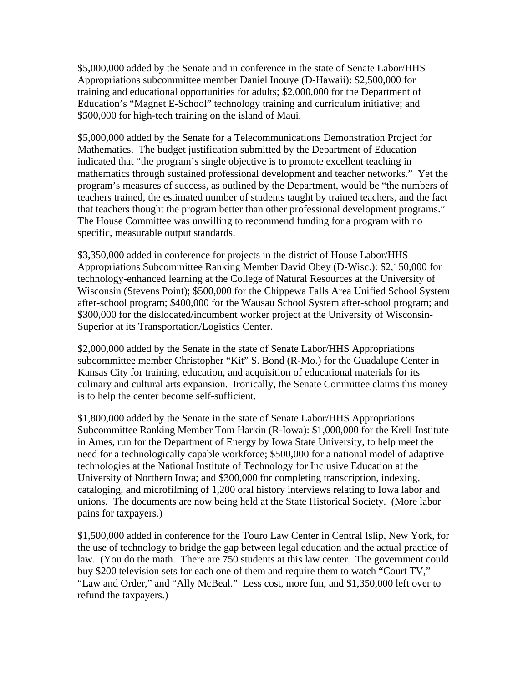\$5,000,000 added by the Senate and in conference in the state of Senate Labor/HHS Appropriations subcommittee member Daniel Inouye (D-Hawaii): \$2,500,000 for training and educational opportunities for adults; \$2,000,000 for the Department of Education's "Magnet E-School" technology training and curriculum initiative; and \$500,000 for high-tech training on the island of Maui.

\$5,000,000 added by the Senate for a Telecommunications Demonstration Project for Mathematics. The budget justification submitted by the Department of Education indicated that "the program's single objective is to promote excellent teaching in mathematics through sustained professional development and teacher networks." Yet the program's measures of success, as outlined by the Department, would be "the numbers of teachers trained, the estimated number of students taught by trained teachers, and the fact that teachers thought the program better than other professional development programs." The House Committee was unwilling to recommend funding for a program with no specific, measurable output standards.

\$3,350,000 added in conference for projects in the district of House Labor/HHS Appropriations Subcommittee Ranking Member David Obey (D-Wisc.): \$2,150,000 for technology-enhanced learning at the College of Natural Resources at the University of Wisconsin (Stevens Point); \$500,000 for the Chippewa Falls Area Unified School System after-school program; \$400,000 for the Wausau School System after-school program; and \$300,000 for the dislocated/incumbent worker project at the University of Wisconsin-Superior at its Transportation/Logistics Center.

\$2,000,000 added by the Senate in the state of Senate Labor/HHS Appropriations subcommittee member Christopher "Kit" S. Bond (R-Mo.) for the Guadalupe Center in Kansas City for training, education, and acquisition of educational materials for its culinary and cultural arts expansion. Ironically, the Senate Committee claims this money is to help the center become self-sufficient.

\$1,800,000 added by the Senate in the state of Senate Labor/HHS Appropriations Subcommittee Ranking Member Tom Harkin (R-Iowa): \$1,000,000 for the Krell Institute in Ames, run for the Department of Energy by Iowa State University, to help meet the need for a technologically capable workforce; \$500,000 for a national model of adaptive technologies at the National Institute of Technology for Inclusive Education at the University of Northern Iowa; and \$300,000 for completing transcription, indexing, cataloging, and microfilming of 1,200 oral history interviews relating to Iowa labor and unions. The documents are now being held at the State Historical Society. (More labor pains for taxpayers.)

\$1,500,000 added in conference for the Touro Law Center in Central Islip, New York, for the use of technology to bridge the gap between legal education and the actual practice of law. (You do the math. There are 750 students at this law center. The government could buy \$200 television sets for each one of them and require them to watch "Court TV," "Law and Order," and "Ally McBeal." Less cost, more fun, and \$1,350,000 left over to refund the taxpayers.)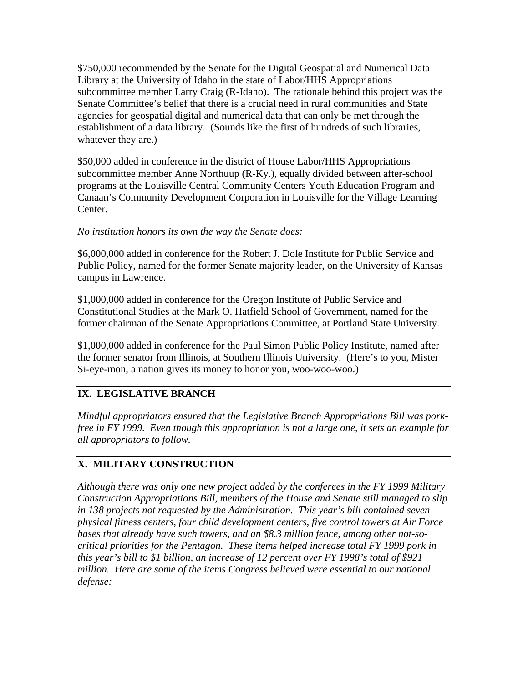\$750,000 recommended by the Senate for the Digital Geospatial and Numerical Data Library at the University of Idaho in the state of Labor/HHS Appropriations subcommittee member Larry Craig (R-Idaho). The rationale behind this project was the Senate Committee's belief that there is a crucial need in rural communities and State agencies for geospatial digital and numerical data that can only be met through the establishment of a data library. (Sounds like the first of hundreds of such libraries, whatever they are.)

\$50,000 added in conference in the district of House Labor/HHS Appropriations subcommittee member Anne Northuup (R-Ky.), equally divided between after-school programs at the Louisville Central Community Centers Youth Education Program and Canaan's Community Development Corporation in Louisville for the Village Learning Center.

### *No institution honors its own the way the Senate does:*

\$6,000,000 added in conference for the Robert J. Dole Institute for Public Service and Public Policy, named for the former Senate majority leader, on the University of Kansas campus in Lawrence.

\$1,000,000 added in conference for the Oregon Institute of Public Service and Constitutional Studies at the Mark O. Hatfield School of Government, named for the former chairman of the Senate Appropriations Committee, at Portland State University.

\$1,000,000 added in conference for the Paul Simon Public Policy Institute, named after the former senator from Illinois, at Southern Illinois University. (Here's to you, Mister Si-eye-mon, a nation gives its money to honor you, woo-woo-woo.)

# **IX. LEGISLATIVE BRANCH**

*Mindful appropriators ensured that the Legislative Branch Appropriations Bill was porkfree in FY 1999. Even though this appropriation is not a large one, it sets an example for all appropriators to follow.* 

# **X. MILITARY CONSTRUCTION**

*Although there was only one new project added by the conferees in the FY 1999 Military Construction Appropriations Bill, members of the House and Senate still managed to slip in 138 projects not requested by the Administration. This year's bill contained seven physical fitness centers, four child development centers, five control towers at Air Force bases that already have such towers, and an \$8.3 million fence, among other not-socritical priorities for the Pentagon. These items helped increase total FY 1999 pork in this year's bill to \$1 billion, an increase of 12 percent over FY 1998's total of \$921 million. Here are some of the items Congress believed were essential to our national defense:*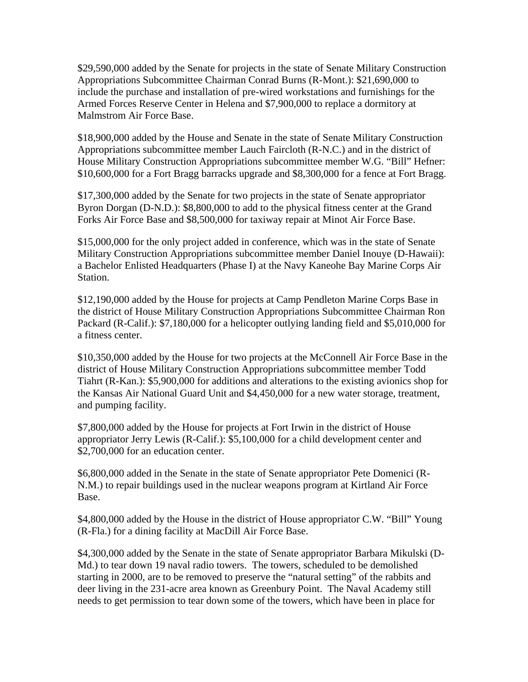\$29,590,000 added by the Senate for projects in the state of Senate Military Construction Appropriations Subcommittee Chairman Conrad Burns (R-Mont.): \$21,690,000 to include the purchase and installation of pre-wired workstations and furnishings for the Armed Forces Reserve Center in Helena and \$7,900,000 to replace a dormitory at Malmstrom Air Force Base.

\$18,900,000 added by the House and Senate in the state of Senate Military Construction Appropriations subcommittee member Lauch Faircloth (R-N.C.) and in the district of House Military Construction Appropriations subcommittee member W.G. "Bill" Hefner: \$10,600,000 for a Fort Bragg barracks upgrade and \$8,300,000 for a fence at Fort Bragg.

\$17,300,000 added by the Senate for two projects in the state of Senate appropriator Byron Dorgan (D-N.D.): \$8,800,000 to add to the physical fitness center at the Grand Forks Air Force Base and \$8,500,000 for taxiway repair at Minot Air Force Base.

\$15,000,000 for the only project added in conference, which was in the state of Senate Military Construction Appropriations subcommittee member Daniel Inouye (D-Hawaii): a Bachelor Enlisted Headquarters (Phase I) at the Navy Kaneohe Bay Marine Corps Air Station.

\$12,190,000 added by the House for projects at Camp Pendleton Marine Corps Base in the district of House Military Construction Appropriations Subcommittee Chairman Ron Packard (R-Calif.): \$7,180,000 for a helicopter outlying landing field and \$5,010,000 for a fitness center.

\$10,350,000 added by the House for two projects at the McConnell Air Force Base in the district of House Military Construction Appropriations subcommittee member Todd Tiahrt (R-Kan.): \$5,900,000 for additions and alterations to the existing avionics shop for the Kansas Air National Guard Unit and \$4,450,000 for a new water storage, treatment, and pumping facility.

\$7,800,000 added by the House for projects at Fort Irwin in the district of House appropriator Jerry Lewis (R-Calif.): \$5,100,000 for a child development center and \$2,700,000 for an education center.

\$6,800,000 added in the Senate in the state of Senate appropriator Pete Domenici (R-N.M.) to repair buildings used in the nuclear weapons program at Kirtland Air Force Base.

\$4,800,000 added by the House in the district of House appropriator C.W. "Bill" Young (R-Fla.) for a dining facility at MacDill Air Force Base.

\$4,300,000 added by the Senate in the state of Senate appropriator Barbara Mikulski (D-Md.) to tear down 19 naval radio towers. The towers, scheduled to be demolished starting in 2000, are to be removed to preserve the "natural setting" of the rabbits and deer living in the 231-acre area known as Greenbury Point. The Naval Academy still needs to get permission to tear down some of the towers, which have been in place for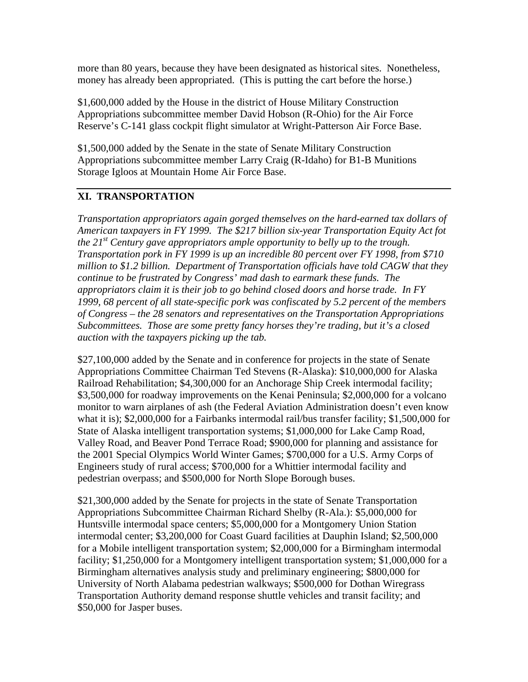more than 80 years, because they have been designated as historical sites. Nonetheless, money has already been appropriated. (This is putting the cart before the horse.)

\$1,600,000 added by the House in the district of House Military Construction Appropriations subcommittee member David Hobson (R-Ohio) for the Air Force Reserve's C-141 glass cockpit flight simulator at Wright-Patterson Air Force Base.

\$1,500,000 added by the Senate in the state of Senate Military Construction Appropriations subcommittee member Larry Craig (R-Idaho) for B1-B Munitions Storage Igloos at Mountain Home Air Force Base.

# **XI. TRANSPORTATION**

*Transportation appropriators again gorged themselves on the hard-earned tax dollars of American taxpayers in FY 1999. The \$217 billion six-year Transportation Equity Act fot the 21<sup>st</sup> Century gave appropriators ample opportunity to belly up to the trough. Transportation pork in FY 1999 is up an incredible 80 percent over FY 1998, from \$710 million to \$1.2 billion. Department of Transportation officials have told CAGW that they continue to be frustrated by Congress' mad dash to earmark these funds. The appropriators claim it is their job to go behind closed doors and horse trade. In FY 1999, 68 percent of all state-specific pork was confiscated by 5.2 percent of the members of Congress – the 28 senators and representatives on the Transportation Appropriations Subcommittees. Those are some pretty fancy horses they're trading, but it's a closed auction with the taxpayers picking up the tab.* 

\$27,100,000 added by the Senate and in conference for projects in the state of Senate Appropriations Committee Chairman Ted Stevens (R-Alaska): \$10,000,000 for Alaska Railroad Rehabilitation; \$4,300,000 for an Anchorage Ship Creek intermodal facility; \$3,500,000 for roadway improvements on the Kenai Peninsula; \$2,000,000 for a volcano monitor to warn airplanes of ash (the Federal Aviation Administration doesn't even know what it is); \$2,000,000 for a Fairbanks intermodal rail/bus transfer facility; \$1,500,000 for State of Alaska intelligent transportation systems; \$1,000,000 for Lake Camp Road, Valley Road, and Beaver Pond Terrace Road; \$900,000 for planning and assistance for the 2001 Special Olympics World Winter Games; \$700,000 for a U.S. Army Corps of Engineers study of rural access; \$700,000 for a Whittier intermodal facility and pedestrian overpass; and \$500,000 for North Slope Borough buses.

\$21,300,000 added by the Senate for projects in the state of Senate Transportation Appropriations Subcommittee Chairman Richard Shelby (R-Ala.): \$5,000,000 for Huntsville intermodal space centers; \$5,000,000 for a Montgomery Union Station intermodal center; \$3,200,000 for Coast Guard facilities at Dauphin Island; \$2,500,000 for a Mobile intelligent transportation system; \$2,000,000 for a Birmingham intermodal facility; \$1,250,000 for a Montgomery intelligent transportation system; \$1,000,000 for a Birmingham alternatives analysis study and preliminary engineering; \$800,000 for University of North Alabama pedestrian walkways; \$500,000 for Dothan Wiregrass Transportation Authority demand response shuttle vehicles and transit facility; and \$50,000 for Jasper buses.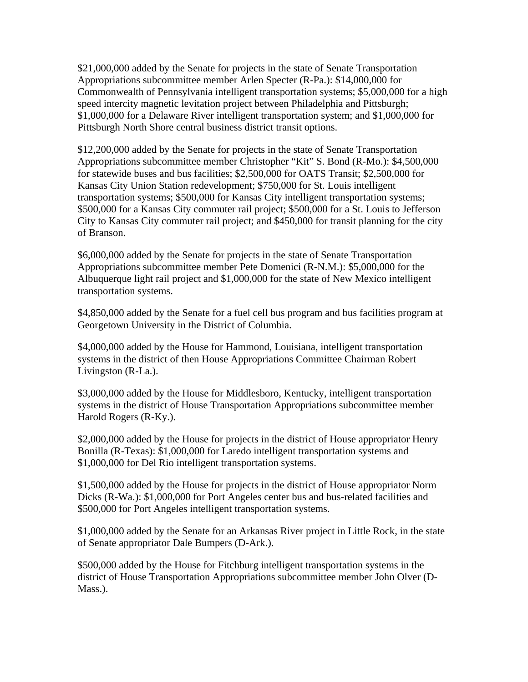\$21,000,000 added by the Senate for projects in the state of Senate Transportation Appropriations subcommittee member Arlen Specter (R-Pa.): \$14,000,000 for Commonwealth of Pennsylvania intelligent transportation systems; \$5,000,000 for a high speed intercity magnetic levitation project between Philadelphia and Pittsburgh; \$1,000,000 for a Delaware River intelligent transportation system; and \$1,000,000 for Pittsburgh North Shore central business district transit options.

\$12,200,000 added by the Senate for projects in the state of Senate Transportation Appropriations subcommittee member Christopher "Kit" S. Bond (R-Mo.): \$4,500,000 for statewide buses and bus facilities; \$2,500,000 for OATS Transit; \$2,500,000 for Kansas City Union Station redevelopment; \$750,000 for St. Louis intelligent transportation systems; \$500,000 for Kansas City intelligent transportation systems; \$500,000 for a Kansas City commuter rail project; \$500,000 for a St. Louis to Jefferson City to Kansas City commuter rail project; and \$450,000 for transit planning for the city of Branson.

\$6,000,000 added by the Senate for projects in the state of Senate Transportation Appropriations subcommittee member Pete Domenici (R-N.M.): \$5,000,000 for the Albuquerque light rail project and \$1,000,000 for the state of New Mexico intelligent transportation systems.

\$4,850,000 added by the Senate for a fuel cell bus program and bus facilities program at Georgetown University in the District of Columbia.

\$4,000,000 added by the House for Hammond, Louisiana, intelligent transportation systems in the district of then House Appropriations Committee Chairman Robert Livingston (R-La.).

\$3,000,000 added by the House for Middlesboro, Kentucky, intelligent transportation systems in the district of House Transportation Appropriations subcommittee member Harold Rogers (R-Ky.).

\$2,000,000 added by the House for projects in the district of House appropriator Henry Bonilla (R-Texas): \$1,000,000 for Laredo intelligent transportation systems and \$1,000,000 for Del Rio intelligent transportation systems.

\$1,500,000 added by the House for projects in the district of House appropriator Norm Dicks (R-Wa.): \$1,000,000 for Port Angeles center bus and bus-related facilities and \$500,000 for Port Angeles intelligent transportation systems.

\$1,000,000 added by the Senate for an Arkansas River project in Little Rock, in the state of Senate appropriator Dale Bumpers (D-Ark.).

\$500,000 added by the House for Fitchburg intelligent transportation systems in the district of House Transportation Appropriations subcommittee member John Olver (D-Mass.).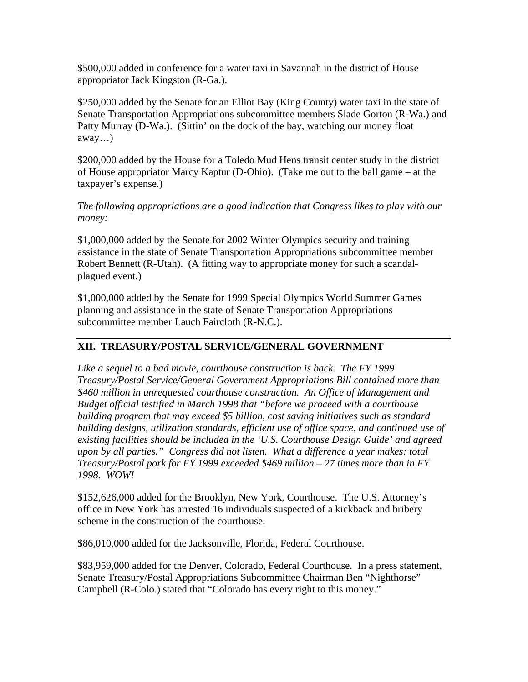\$500,000 added in conference for a water taxi in Savannah in the district of House appropriator Jack Kingston (R-Ga.).

\$250,000 added by the Senate for an Elliot Bay (King County) water taxi in the state of Senate Transportation Appropriations subcommittee members Slade Gorton (R-Wa.) and Patty Murray (D-Wa.). (Sittin' on the dock of the bay, watching our money float away…)

\$200,000 added by the House for a Toledo Mud Hens transit center study in the district of House appropriator Marcy Kaptur (D-Ohio). (Take me out to the ball game – at the taxpayer's expense.)

*The following appropriations are a good indication that Congress likes to play with our money:*

\$1,000,000 added by the Senate for 2002 Winter Olympics security and training assistance in the state of Senate Transportation Appropriations subcommittee member Robert Bennett (R-Utah). (A fitting way to appropriate money for such a scandalplagued event.)

\$1,000,000 added by the Senate for 1999 Special Olympics World Summer Games planning and assistance in the state of Senate Transportation Appropriations subcommittee member Lauch Faircloth (R-N.C.).

# **XII. TREASURY/POSTAL SERVICE/GENERAL GOVERNMENT**

*Like a sequel to a bad movie, courthouse construction is back. The FY 1999 Treasury/Postal Service/General Government Appropriations Bill contained more than \$460 million in unrequested courthouse construction. An Office of Management and Budget official testified in March 1998 that "before we proceed with a courthouse building program that may exceed \$5 billion, cost saving initiatives such as standard building designs, utilization standards, efficient use of office space, and continued use of existing facilities should be included in the 'U.S. Courthouse Design Guide' and agreed upon by all parties." Congress did not listen. What a difference a year makes: total Treasury/Postal pork for FY 1999 exceeded \$469 million – 27 times more than in FY 1998. WOW!* 

\$152,626,000 added for the Brooklyn, New York, Courthouse. The U.S. Attorney's office in New York has arrested 16 individuals suspected of a kickback and bribery scheme in the construction of the courthouse.

\$86,010,000 added for the Jacksonville, Florida, Federal Courthouse.

\$83,959,000 added for the Denver, Colorado, Federal Courthouse. In a press statement, Senate Treasury/Postal Appropriations Subcommittee Chairman Ben "Nighthorse" Campbell (R-Colo.) stated that "Colorado has every right to this money."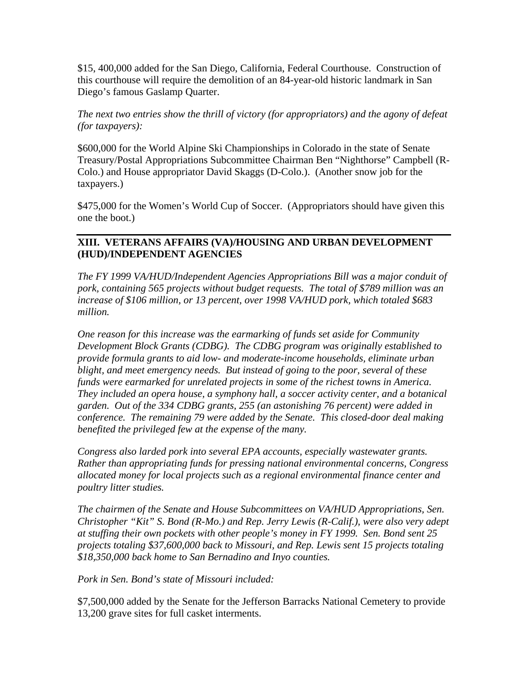\$15, 400,000 added for the San Diego, California, Federal Courthouse. Construction of this courthouse will require the demolition of an 84-year-old historic landmark in San Diego's famous Gaslamp Quarter.

### *The next two entries show the thrill of victory (for appropriators) and the agony of defeat (for taxpayers):*

\$600,000 for the World Alpine Ski Championships in Colorado in the state of Senate Treasury/Postal Appropriations Subcommittee Chairman Ben "Nighthorse" Campbell (R-Colo.) and House appropriator David Skaggs (D-Colo.). (Another snow job for the taxpayers.)

\$475,000 for the Women's World Cup of Soccer. (Appropriators should have given this one the boot.)

### **XIII. VETERANS AFFAIRS (VA)/HOUSING AND URBAN DEVELOPMENT (HUD)/INDEPENDENT AGENCIES**

*The FY 1999 VA/HUD/Independent Agencies Appropriations Bill was a major conduit of pork, containing 565 projects without budget requests. The total of \$789 million was an increase of \$106 million, or 13 percent, over 1998 VA/HUD pork, which totaled \$683 million.* 

*One reason for this increase was the earmarking of funds set aside for Community Development Block Grants (CDBG). The CDBG program was originally established to provide formula grants to aid low- and moderate-income households, eliminate urban blight, and meet emergency needs. But instead of going to the poor, several of these funds were earmarked for unrelated projects in some of the richest towns in America. They included an opera house, a symphony hall, a soccer activity center, and a botanical garden. Out of the 334 CDBG grants, 255 (an astonishing 76 percent) were added in conference. The remaining 79 were added by the Senate. This closed-door deal making benefited the privileged few at the expense of the many.* 

*Congress also larded pork into several EPA accounts, especially wastewater grants. Rather than appropriating funds for pressing national environmental concerns, Congress allocated money for local projects such as a regional environmental finance center and poultry litter studies.* 

*The chairmen of the Senate and House Subcommittees on VA/HUD Appropriations, Sen. Christopher "Kit" S. Bond (R-Mo.) and Rep. Jerry Lewis (R-Calif.), were also very adept at stuffing their own pockets with other people's money in FY 1999. Sen. Bond sent 25 projects totaling \$37,600,000 back to Missouri, and Rep. Lewis sent 15 projects totaling \$18,350,000 back home to San Bernadino and Inyo counties.* 

#### *Pork in Sen. Bond's state of Missouri included:*

\$7,500,000 added by the Senate for the Jefferson Barracks National Cemetery to provide 13,200 grave sites for full casket interments.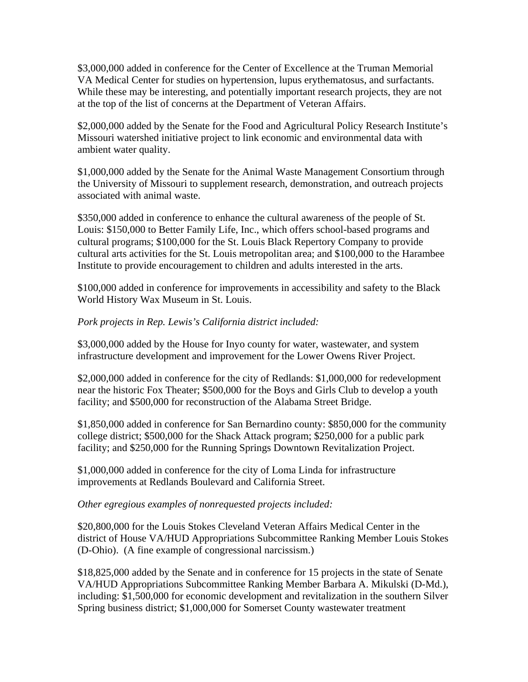\$3,000,000 added in conference for the Center of Excellence at the Truman Memorial VA Medical Center for studies on hypertension, lupus erythematosus, and surfactants. While these may be interesting, and potentially important research projects, they are not at the top of the list of concerns at the Department of Veteran Affairs.

\$2,000,000 added by the Senate for the Food and Agricultural Policy Research Institute's Missouri watershed initiative project to link economic and environmental data with ambient water quality.

\$1,000,000 added by the Senate for the Animal Waste Management Consortium through the University of Missouri to supplement research, demonstration, and outreach projects associated with animal waste.

\$350,000 added in conference to enhance the cultural awareness of the people of St. Louis: \$150,000 to Better Family Life, Inc., which offers school-based programs and cultural programs; \$100,000 for the St. Louis Black Repertory Company to provide cultural arts activities for the St. Louis metropolitan area; and \$100,000 to the Harambee Institute to provide encouragement to children and adults interested in the arts.

\$100,000 added in conference for improvements in accessibility and safety to the Black World History Wax Museum in St. Louis.

### *Pork projects in Rep. Lewis's California district included:*

\$3,000,000 added by the House for Inyo county for water, wastewater, and system infrastructure development and improvement for the Lower Owens River Project.

\$2,000,000 added in conference for the city of Redlands: \$1,000,000 for redevelopment near the historic Fox Theater; \$500,000 for the Boys and Girls Club to develop a youth facility; and \$500,000 for reconstruction of the Alabama Street Bridge.

\$1,850,000 added in conference for San Bernardino county: \$850,000 for the community college district; \$500,000 for the Shack Attack program; \$250,000 for a public park facility; and \$250,000 for the Running Springs Downtown Revitalization Project.

\$1,000,000 added in conference for the city of Loma Linda for infrastructure improvements at Redlands Boulevard and California Street.

#### *Other egregious examples of nonrequested projects included:*

\$20,800,000 for the Louis Stokes Cleveland Veteran Affairs Medical Center in the district of House VA/HUD Appropriations Subcommittee Ranking Member Louis Stokes (D-Ohio). (A fine example of congressional narcissism.)

\$18,825,000 added by the Senate and in conference for 15 projects in the state of Senate VA/HUD Appropriations Subcommittee Ranking Member Barbara A. Mikulski (D-Md.), including: \$1,500,000 for economic development and revitalization in the southern Silver Spring business district; \$1,000,000 for Somerset County wastewater treatment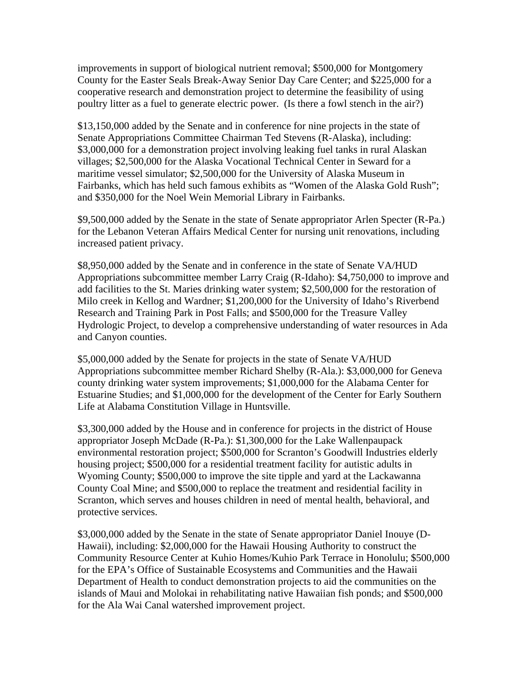improvements in support of biological nutrient removal; \$500,000 for Montgomery County for the Easter Seals Break-Away Senior Day Care Center; and \$225,000 for a cooperative research and demonstration project to determine the feasibility of using poultry litter as a fuel to generate electric power. (Is there a fowl stench in the air?)

\$13,150,000 added by the Senate and in conference for nine projects in the state of Senate Appropriations Committee Chairman Ted Stevens (R-Alaska), including: \$3,000,000 for a demonstration project involving leaking fuel tanks in rural Alaskan villages; \$2,500,000 for the Alaska Vocational Technical Center in Seward for a maritime vessel simulator; \$2,500,000 for the University of Alaska Museum in Fairbanks, which has held such famous exhibits as "Women of the Alaska Gold Rush"; and \$350,000 for the Noel Wein Memorial Library in Fairbanks.

\$9,500,000 added by the Senate in the state of Senate appropriator Arlen Specter (R-Pa.) for the Lebanon Veteran Affairs Medical Center for nursing unit renovations, including increased patient privacy.

\$8,950,000 added by the Senate and in conference in the state of Senate VA/HUD Appropriations subcommittee member Larry Craig (R-Idaho): \$4,750,000 to improve and add facilities to the St. Maries drinking water system; \$2,500,000 for the restoration of Milo creek in Kellog and Wardner; \$1,200,000 for the University of Idaho's Riverbend Research and Training Park in Post Falls; and \$500,000 for the Treasure Valley Hydrologic Project, to develop a comprehensive understanding of water resources in Ada and Canyon counties.

\$5,000,000 added by the Senate for projects in the state of Senate VA/HUD Appropriations subcommittee member Richard Shelby (R-Ala.): \$3,000,000 for Geneva county drinking water system improvements; \$1,000,000 for the Alabama Center for Estuarine Studies; and \$1,000,000 for the development of the Center for Early Southern Life at Alabama Constitution Village in Huntsville.

\$3,300,000 added by the House and in conference for projects in the district of House appropriator Joseph McDade (R-Pa.): \$1,300,000 for the Lake Wallenpaupack environmental restoration project; \$500,000 for Scranton's Goodwill Industries elderly housing project; \$500,000 for a residential treatment facility for autistic adults in Wyoming County; \$500,000 to improve the site tipple and yard at the Lackawanna County Coal Mine; and \$500,000 to replace the treatment and residential facility in Scranton, which serves and houses children in need of mental health, behavioral, and protective services.

\$3,000,000 added by the Senate in the state of Senate appropriator Daniel Inouye (D-Hawaii), including: \$2,000,000 for the Hawaii Housing Authority to construct the Community Resource Center at Kuhio Homes/Kuhio Park Terrace in Honolulu; \$500,000 for the EPA's Office of Sustainable Ecosystems and Communities and the Hawaii Department of Health to conduct demonstration projects to aid the communities on the islands of Maui and Molokai in rehabilitating native Hawaiian fish ponds; and \$500,000 for the Ala Wai Canal watershed improvement project.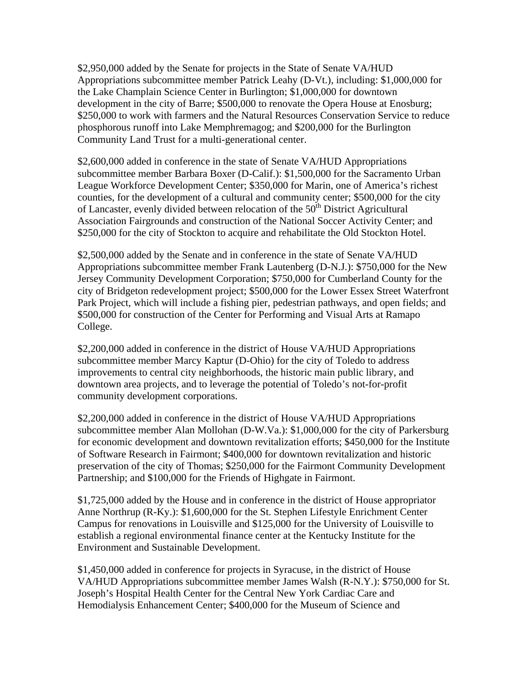\$2,950,000 added by the Senate for projects in the State of Senate VA/HUD Appropriations subcommittee member Patrick Leahy (D-Vt.), including: \$1,000,000 for the Lake Champlain Science Center in Burlington; \$1,000,000 for downtown development in the city of Barre; \$500,000 to renovate the Opera House at Enosburg; \$250,000 to work with farmers and the Natural Resources Conservation Service to reduce phosphorous runoff into Lake Memphremagog; and \$200,000 for the Burlington Community Land Trust for a multi-generational center.

\$2,600,000 added in conference in the state of Senate VA/HUD Appropriations subcommittee member Barbara Boxer (D-Calif.): \$1,500,000 for the Sacramento Urban League Workforce Development Center; \$350,000 for Marin, one of America's richest counties, for the development of a cultural and community center; \$500,000 for the city of Lancaster, evenly divided between relocation of the  $50<sup>th</sup>$  District Agricultural Association Fairgrounds and construction of the National Soccer Activity Center; and \$250,000 for the city of Stockton to acquire and rehabilitate the Old Stockton Hotel.

\$2,500,000 added by the Senate and in conference in the state of Senate VA/HUD Appropriations subcommittee member Frank Lautenberg (D-N.J.): \$750,000 for the New Jersey Community Development Corporation; \$750,000 for Cumberland County for the city of Bridgeton redevelopment project; \$500,000 for the Lower Essex Street Waterfront Park Project, which will include a fishing pier, pedestrian pathways, and open fields; and \$500,000 for construction of the Center for Performing and Visual Arts at Ramapo College.

\$2,200,000 added in conference in the district of House VA/HUD Appropriations subcommittee member Marcy Kaptur (D-Ohio) for the city of Toledo to address improvements to central city neighborhoods, the historic main public library, and downtown area projects, and to leverage the potential of Toledo's not-for-profit community development corporations.

\$2,200,000 added in conference in the district of House VA/HUD Appropriations subcommittee member Alan Mollohan (D-W.Va.): \$1,000,000 for the city of Parkersburg for economic development and downtown revitalization efforts; \$450,000 for the Institute of Software Research in Fairmont; \$400,000 for downtown revitalization and historic preservation of the city of Thomas; \$250,000 for the Fairmont Community Development Partnership; and \$100,000 for the Friends of Highgate in Fairmont.

\$1,725,000 added by the House and in conference in the district of House appropriator Anne Northrup (R-Ky.): \$1,600,000 for the St. Stephen Lifestyle Enrichment Center Campus for renovations in Louisville and \$125,000 for the University of Louisville to establish a regional environmental finance center at the Kentucky Institute for the Environment and Sustainable Development.

\$1,450,000 added in conference for projects in Syracuse, in the district of House VA/HUD Appropriations subcommittee member James Walsh (R-N.Y.): \$750,000 for St. Joseph's Hospital Health Center for the Central New York Cardiac Care and Hemodialysis Enhancement Center; \$400,000 for the Museum of Science and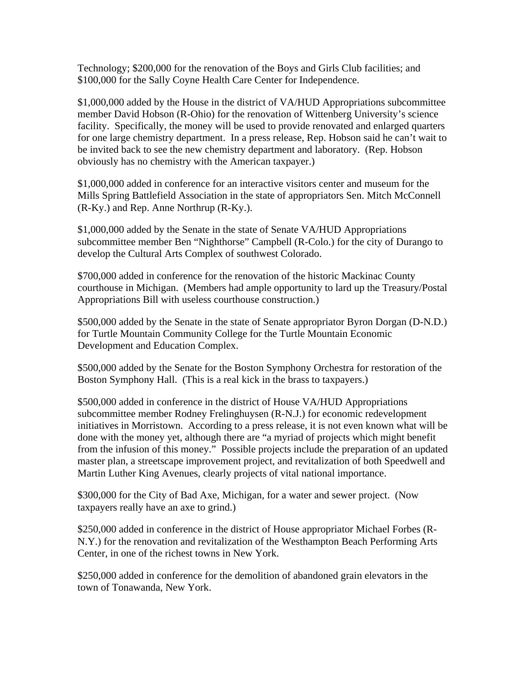Technology; \$200,000 for the renovation of the Boys and Girls Club facilities; and \$100,000 for the Sally Coyne Health Care Center for Independence.

\$1,000,000 added by the House in the district of VA/HUD Appropriations subcommittee member David Hobson (R-Ohio) for the renovation of Wittenberg University's science facility. Specifically, the money will be used to provide renovated and enlarged quarters for one large chemistry department. In a press release, Rep. Hobson said he can't wait to be invited back to see the new chemistry department and laboratory. (Rep. Hobson obviously has no chemistry with the American taxpayer.)

\$1,000,000 added in conference for an interactive visitors center and museum for the Mills Spring Battlefield Association in the state of appropriators Sen. Mitch McConnell (R-Ky.) and Rep. Anne Northrup (R-Ky.).

\$1,000,000 added by the Senate in the state of Senate VA/HUD Appropriations subcommittee member Ben "Nighthorse" Campbell (R-Colo.) for the city of Durango to develop the Cultural Arts Complex of southwest Colorado.

\$700,000 added in conference for the renovation of the historic Mackinac County courthouse in Michigan. (Members had ample opportunity to lard up the Treasury/Postal Appropriations Bill with useless courthouse construction.)

\$500,000 added by the Senate in the state of Senate appropriator Byron Dorgan (D-N.D.) for Turtle Mountain Community College for the Turtle Mountain Economic Development and Education Complex.

\$500,000 added by the Senate for the Boston Symphony Orchestra for restoration of the Boston Symphony Hall. (This is a real kick in the brass to taxpayers.)

\$500,000 added in conference in the district of House VA/HUD Appropriations subcommittee member Rodney Frelinghuysen (R-N.J.) for economic redevelopment initiatives in Morristown. According to a press release, it is not even known what will be done with the money yet, although there are "a myriad of projects which might benefit from the infusion of this money." Possible projects include the preparation of an updated master plan, a streetscape improvement project, and revitalization of both Speedwell and Martin Luther King Avenues, clearly projects of vital national importance.

\$300,000 for the City of Bad Axe, Michigan, for a water and sewer project. (Now taxpayers really have an axe to grind.)

\$250,000 added in conference in the district of House appropriator Michael Forbes (R-N.Y.) for the renovation and revitalization of the Westhampton Beach Performing Arts Center, in one of the richest towns in New York.

\$250,000 added in conference for the demolition of abandoned grain elevators in the town of Tonawanda, New York.